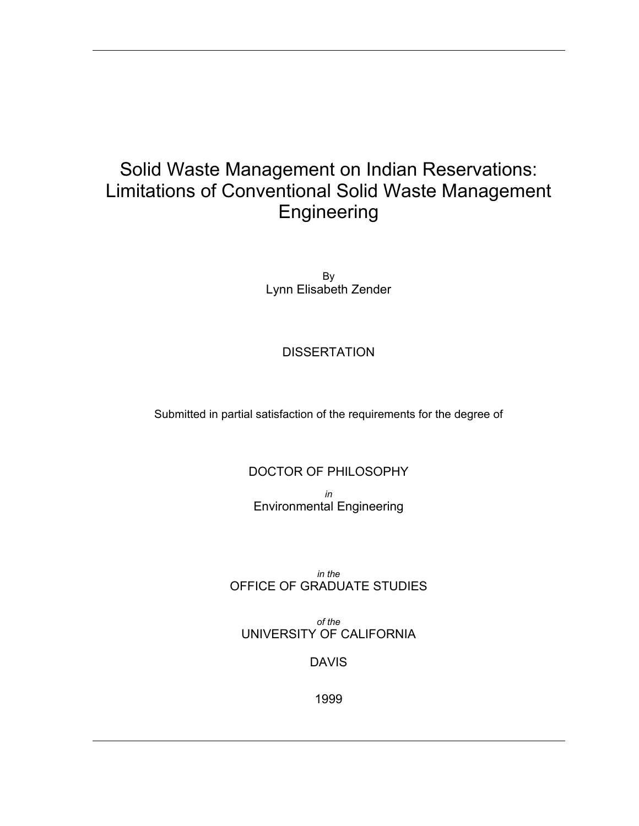#### Solid Waste Management on Indian Reservations: Limitations of Conventional Solid Waste Management Engineering

By Lynn Elisabeth Zender

#### **DISSERTATION**

Submitted in partial satisfaction of the requirements for the degree of

#### DOCTOR OF PHILOSOPHY

*in*  Environmental Engineering

*in the*  OFFICE OF GRADUATE STUDIES

*of the*  UNIVERSITY OF CALIFORNIA

#### DAVIS

1999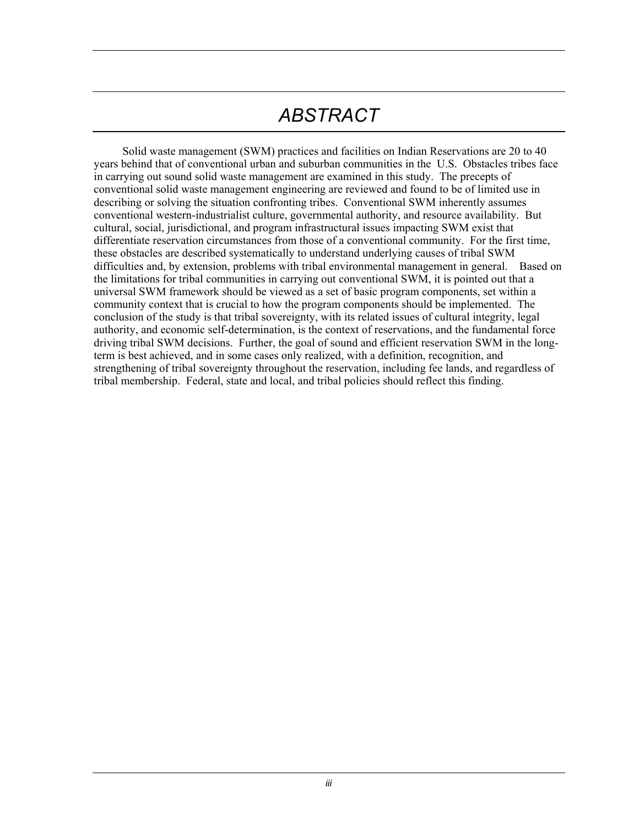# *ABSTRACT*

Solid waste management (SWM) practices and facilities on Indian Reservations are 20 to 40 years behind that of conventional urban and suburban communities in the U.S. Obstacles tribes face in carrying out sound solid waste management are examined in this study. The precepts of conventional solid waste management engineering are reviewed and found to be of limited use in describing or solving the situation confronting tribes. Conventional SWM inherently assumes conventional western-industrialist culture, governmental authority, and resource availability. But cultural, social, jurisdictional, and program infrastructural issues impacting SWM exist that differentiate reservation circumstances from those of a conventional community. For the first time, these obstacles are described systematically to understand underlying causes of tribal SWM difficulties and, by extension, problems with tribal environmental management in general. Based on the limitations for tribal communities in carrying out conventional SWM, it is pointed out that a universal SWM framework should be viewed as a set of basic program components, set within a community context that is crucial to how the program components should be implemented. The conclusion of the study is that tribal sovereignty, with its related issues of cultural integrity, legal authority, and economic self-determination, is the context of reservations, and the fundamental force driving tribal SWM decisions. Further, the goal of sound and efficient reservation SWM in the longterm is best achieved, and in some cases only realized, with a definition, recognition, and strengthening of tribal sovereignty throughout the reservation, including fee lands, and regardless of tribal membership. Federal, state and local, and tribal policies should reflect this finding.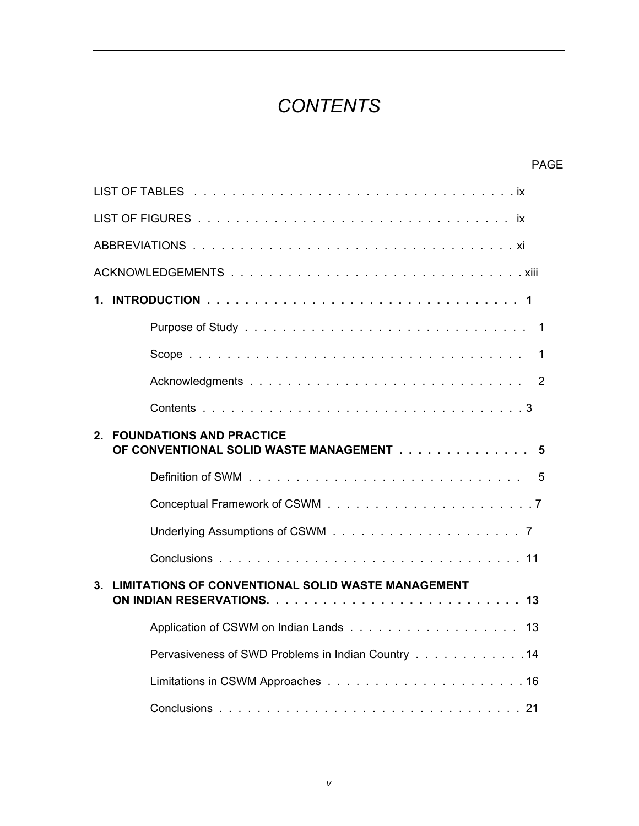## *CONTENTS*

| <b>PAGE</b>                                                                            |  |  |  |
|----------------------------------------------------------------------------------------|--|--|--|
|                                                                                        |  |  |  |
|                                                                                        |  |  |  |
|                                                                                        |  |  |  |
|                                                                                        |  |  |  |
|                                                                                        |  |  |  |
|                                                                                        |  |  |  |
| -1                                                                                     |  |  |  |
|                                                                                        |  |  |  |
|                                                                                        |  |  |  |
| <b>FOUNDATIONS AND PRACTICE</b><br>$2_{-}$<br>OF CONVENTIONAL SOLID WASTE MANAGEMENT 5 |  |  |  |
|                                                                                        |  |  |  |
|                                                                                        |  |  |  |
|                                                                                        |  |  |  |
|                                                                                        |  |  |  |
| <b>LIMITATIONS OF CONVENTIONAL SOLID WASTE MANAGEMENT</b><br>3 <sub>1</sub>            |  |  |  |
|                                                                                        |  |  |  |
| Pervasiveness of SWD Problems in Indian Country 14                                     |  |  |  |
|                                                                                        |  |  |  |
|                                                                                        |  |  |  |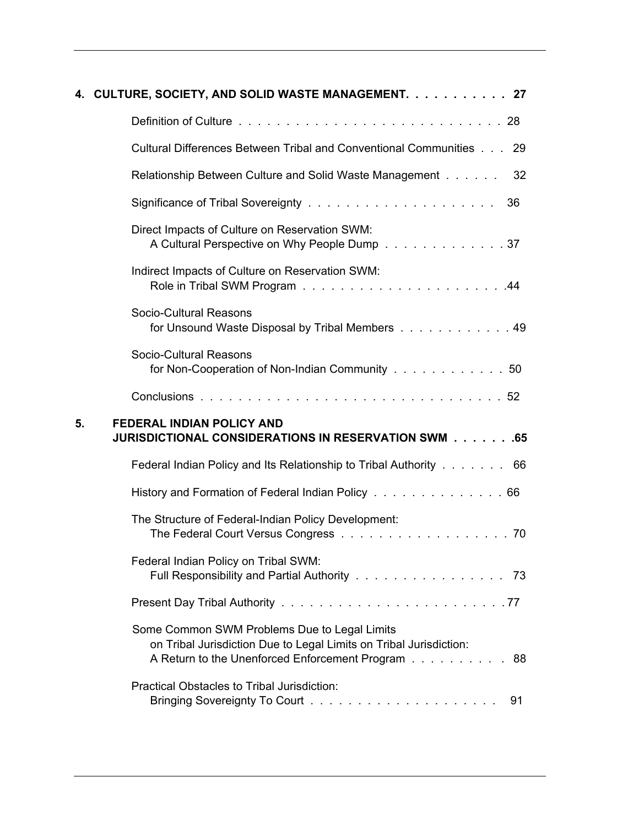|    | 4. CULTURE, SOCIETY, AND SOLID WASTE MANAGEMENT. 27                                                                                                                     |
|----|-------------------------------------------------------------------------------------------------------------------------------------------------------------------------|
|    |                                                                                                                                                                         |
|    | Cultural Differences Between Tribal and Conventional Communities 29                                                                                                     |
|    | Relationship Between Culture and Solid Waste Management<br>32                                                                                                           |
|    | 36                                                                                                                                                                      |
|    | Direct Impacts of Culture on Reservation SWM:<br>A Cultural Perspective on Why People Dump 37                                                                           |
|    | Indirect Impacts of Culture on Reservation SWM:                                                                                                                         |
|    | Socio-Cultural Reasons<br>for Unsound Waste Disposal by Tribal Members 49                                                                                               |
|    | Socio-Cultural Reasons<br>for Non-Cooperation of Non-Indian Community 50                                                                                                |
|    |                                                                                                                                                                         |
| 5. | <b>FEDERAL INDIAN POLICY AND</b><br>JURISDICTIONAL CONSIDERATIONS IN RESERVATION SWM 65                                                                                 |
|    | Federal Indian Policy and Its Relationship to Tribal Authority 66                                                                                                       |
|    | History and Formation of Federal Indian Policy 66                                                                                                                       |
|    | The Structure of Federal-Indian Policy Development:                                                                                                                     |
|    | Federal Indian Policy on Tribal SWM:<br>Full Responsibility and Partial Authority 73                                                                                    |
|    |                                                                                                                                                                         |
|    | Some Common SWM Problems Due to Legal Limits<br>on Tribal Jurisdiction Due to Legal Limits on Tribal Jurisdiction:<br>A Return to the Unenforced Enforcement Program 88 |
|    | Practical Obstacles to Tribal Jurisdiction:<br>91                                                                                                                       |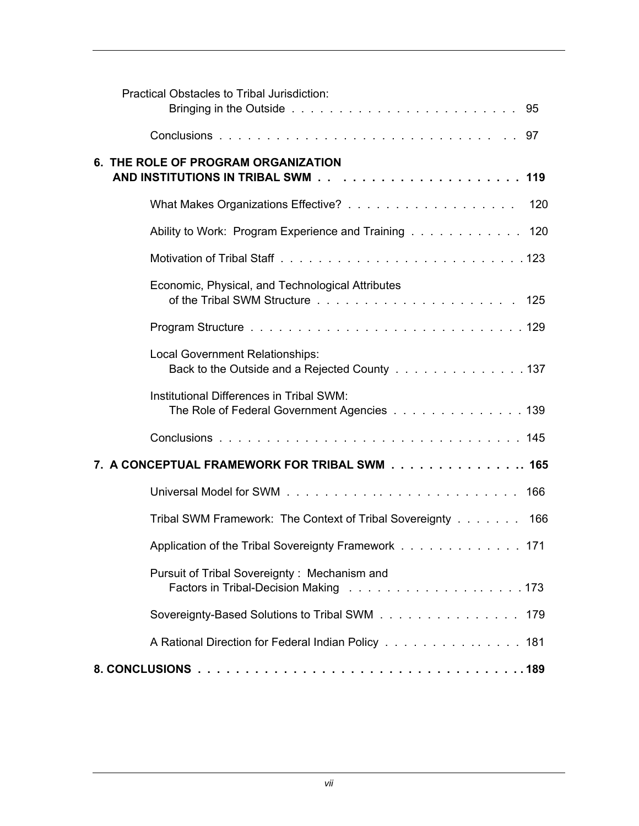|                                              | Practical Obstacles to Tribal Jurisdiction:                                             |     |  |
|----------------------------------------------|-----------------------------------------------------------------------------------------|-----|--|
|                                              |                                                                                         |     |  |
| 6. THE ROLE OF PROGRAM ORGANIZATION          |                                                                                         |     |  |
|                                              |                                                                                         | 120 |  |
|                                              | Ability to Work: Program Experience and Training 120                                    |     |  |
|                                              |                                                                                         |     |  |
|                                              | Economic, Physical, and Technological Attributes                                        |     |  |
|                                              |                                                                                         |     |  |
|                                              | Local Government Relationships:<br>Back to the Outside and a Rejected County 137        |     |  |
|                                              | Institutional Differences in Tribal SWM:<br>The Role of Federal Government Agencies 139 |     |  |
|                                              |                                                                                         |     |  |
| 7. A CONCEPTUAL FRAMEWORK FOR TRIBAL SWM 165 |                                                                                         |     |  |
|                                              |                                                                                         | 166 |  |
|                                              | Tribal SWM Framework: The Context of Tribal Sovereignty 166                             |     |  |
|                                              | Application of the Tribal Sovereignty Framework 171                                     |     |  |
|                                              | Pursuit of Tribal Sovereignty: Mechanism and                                            |     |  |
|                                              | Sovereignty-Based Solutions to Tribal SWM 179                                           |     |  |
|                                              | A Rational Direction for Federal Indian Policy 181                                      |     |  |
|                                              |                                                                                         |     |  |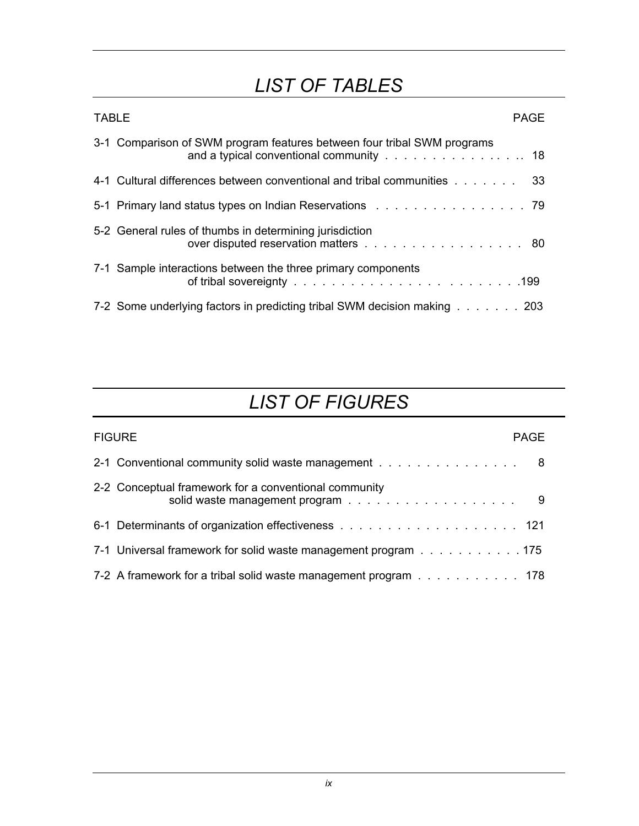### *LIST OF TABLES*

| <b>TABLE</b><br>PAGE                                                                                               |  |  |
|--------------------------------------------------------------------------------------------------------------------|--|--|
| 3-1 Comparison of SWM program features between four tribal SWM programs<br>and a typical conventional community 18 |  |  |
| 4-1 Cultural differences between conventional and tribal communities 33                                            |  |  |
| 5-1 Primary land status types on Indian Reservations 79                                                            |  |  |
| 5-2 General rules of thumbs in determining jurisdiction<br>over disputed reservation matters 80                    |  |  |
| 7-1 Sample interactions between the three primary components                                                       |  |  |
| 7-2 Some underlying factors in predicting tribal SWM decision making 203                                           |  |  |

### *LIST OF FIGURES*

| <b>FIGURE</b><br>PAGE |                                                                 |  |
|-----------------------|-----------------------------------------------------------------|--|
|                       | 2-1 Conventional community solid waste management 8             |  |
|                       | 2-2 Conceptual framework for a conventional community           |  |
|                       |                                                                 |  |
|                       | 7-1 Universal framework for solid waste management program 175  |  |
|                       | 7-2 A framework for a tribal solid waste management program 178 |  |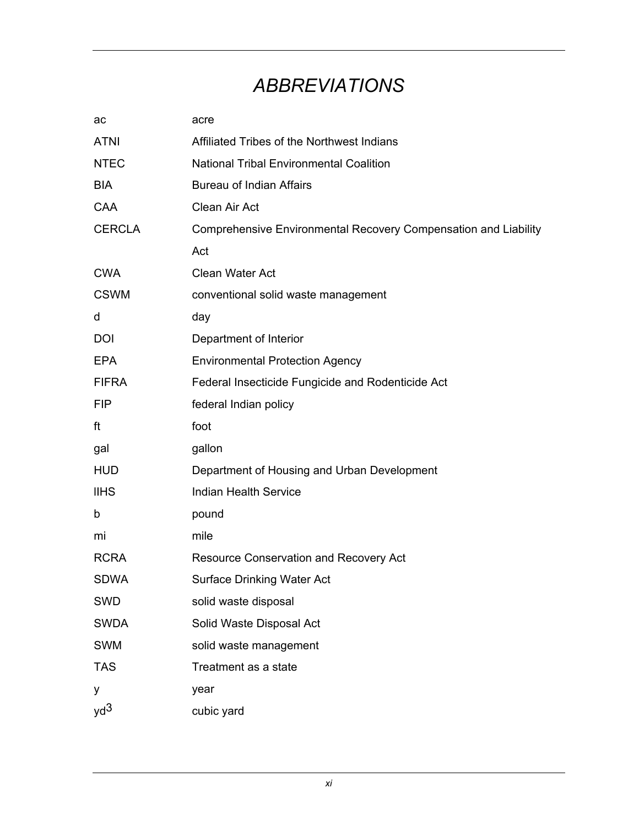### *ABBREVIATIONS*

| ac            | acre                                                            |
|---------------|-----------------------------------------------------------------|
| <b>ATNI</b>   | Affiliated Tribes of the Northwest Indians                      |
| <b>NTEC</b>   | <b>National Tribal Environmental Coalition</b>                  |
| <b>BIA</b>    | <b>Bureau of Indian Affairs</b>                                 |
| CAA           | Clean Air Act                                                   |
| <b>CERCLA</b> | Comprehensive Environmental Recovery Compensation and Liability |
|               | Act                                                             |
| <b>CWA</b>    | Clean Water Act                                                 |
| <b>CSWM</b>   | conventional solid waste management                             |
| d             | day                                                             |
| <b>DOI</b>    | Department of Interior                                          |
| <b>EPA</b>    | <b>Environmental Protection Agency</b>                          |
| <b>FIFRA</b>  | Federal Insecticide Fungicide and Rodenticide Act               |
| <b>FIP</b>    | federal Indian policy                                           |
| ft            | foot                                                            |
| gal           | gallon                                                          |
| <b>HUD</b>    | Department of Housing and Urban Development                     |
| <b>IIHS</b>   | <b>Indian Health Service</b>                                    |
| b             | pound                                                           |
| mi            | mile                                                            |
| <b>RCRA</b>   | Resource Conservation and Recovery Act                          |
| <b>SDWA</b>   | <b>Surface Drinking Water Act</b>                               |
| <b>SWD</b>    | solid waste disposal                                            |
| <b>SWDA</b>   | Solid Waste Disposal Act                                        |
| <b>SWM</b>    | solid waste management                                          |
| <b>TAS</b>    | Treatment as a state                                            |
| у             | year                                                            |
| $yd^3$        | cubic yard                                                      |